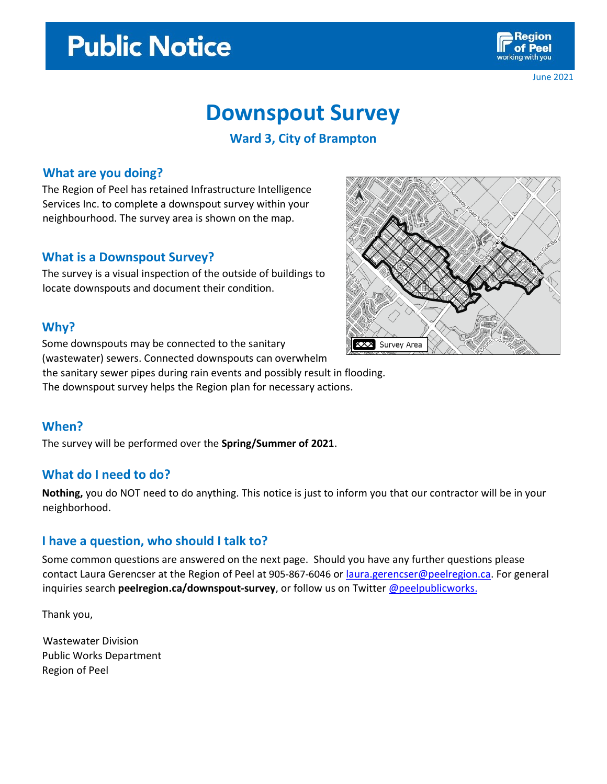# **Public Notice**



June 2021

# **Downspout Survey**

**Ward 3, City of Brampton**

### **What are you doing?**

The Region of Peel has retained Infrastructure Intelligence Services Inc. to complete a downspout survey within your neighbourhood. The survey area is shown on the map.

### **What is a Downspout Survey?**

The survey is a visual inspection of the outside of buildings to locate downspouts and document their condition.

## **Why?**

Some downspouts may be connected to the sanitary

(wastewater) sewers. Connected downspouts can overwhelm

the sanitary sewer pipes during rain events and possibly result in flooding.

The downspout survey helps the Region plan for necessary actions.

# **When?**

The survey will be performed over the **Spring/Summer of 2021**.

# **What do I need to do?**

**Nothing,** you do NOT need to do anything. This notice is just to inform you that our contractor will be in your neighborhood.

# **I have a question, who should I talk to?**

Some common questions are answered on the next page. Should you have any further questions please contact Laura Gerencser at the Region of Peel at 905-867-6046 or laura.gerencser@peelregion.ca. For general inquiries search **peelregion.ca/downspout-survey**, or follow us on Twitter [@peelpublicworks.](http://www.twitter.com/peelpublicworks)

Thank you,

Wastewater Division Public Works Department Region of Peel